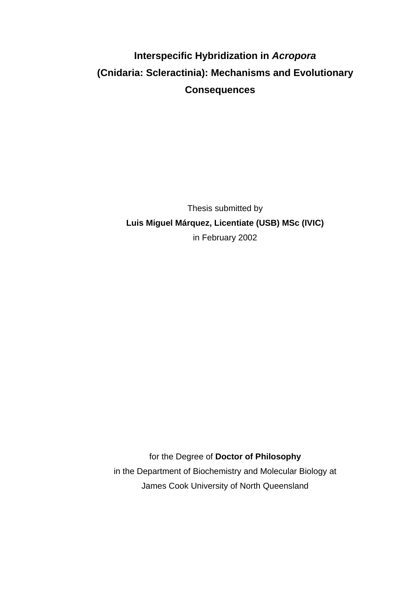# **Interspecific Hybridization in** *Acropora* **(Cnidaria: Scleractinia): Mechanisms and Evolutionary Consequences**

Thesis submitted by **Luis Miguel Márquez, Licentiate (USB) MSc (IVIC)** in February 2002

for the Degree of **Doctor of Philosophy** in the Department of Biochemistry and Molecular Biology at James Cook University of North Queensland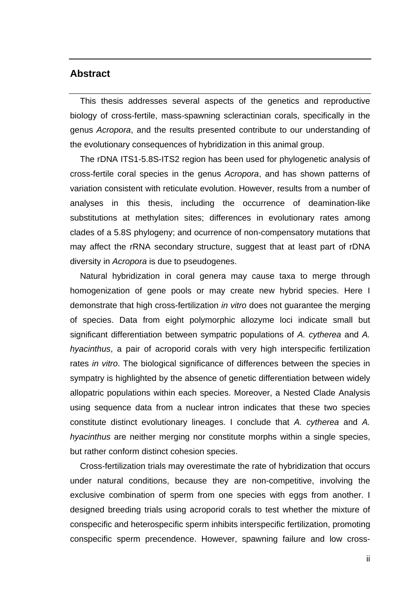#### **Abstract**

This thesis addresses several aspects of the genetics and reproductive biology of cross-fertile, mass-spawning scleractinian corals, specifically in the genus *Acropora*, and the results presented contribute to our understanding of the evolutionary consequences of hybridization in this animal group.

The rDNA ITS1-5.8S-ITS2 region has been used for phylogenetic analysis of cross-fertile coral species in the genus *Acropora*, and has shown patterns of variation consistent with reticulate evolution. However, results from a number of analyses in this thesis, including the occurrence of deamination-like substitutions at methylation sites; differences in evolutionary rates among clades of a 5.8S phylogeny; and ocurrence of non-compensatory mutations that may affect the rRNA secondary structure, suggest that at least part of rDNA diversity in *Acropora* is due to pseudogenes.

Natural hybridization in coral genera may cause taxa to merge through homogenization of gene pools or may create new hybrid species. Here I demonstrate that high cross-fertilization *in vitro* does not guarantee the merging of species. Data from eight polymorphic allozyme loci indicate small but significant differentiation between sympatric populations of *A. cytherea* and *A. hyacinthus*, a pair of acroporid corals with very high interspecific fertilization rates *in vitro*. The biological significance of differences between the species in sympatry is highlighted by the absence of genetic differentiation between widely allopatric populations within each species. Moreover, a Nested Clade Analysis using sequence data from a nuclear intron indicates that these two species constitute distinct evolutionary lineages. I conclude that *A. cytherea* and *A. hyacinthus* are neither merging nor constitute morphs within a single species, but rather conform distinct cohesion species.

Cross-fertilization trials may overestimate the rate of hybridization that occurs under natural conditions, because they are non-competitive, involving the exclusive combination of sperm from one species with eggs from another. I designed breeding trials using acroporid corals to test whether the mixture of conspecific and heterospecific sperm inhibits interspecific fertilization, promoting conspecific sperm precendence. However, spawning failure and low cross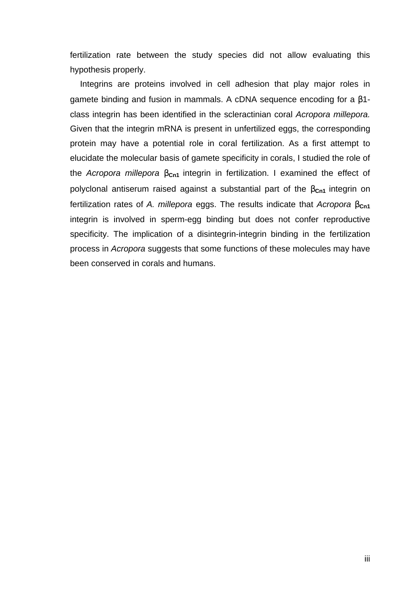fertilization rate between the study species did not allow evaluating this hypothesis properly.

Integrins are proteins involved in cell adhesion that play major roles in gamete binding and fusion in mammals. A cDNA sequence encoding for a β1 class integrin has been identified in the scleractinian coral *Acropora millepora.* Given that the integrin mRNA is present in unfertilized eggs, the corresponding protein may have a potential role in coral fertilization. As a first attempt to elucidate the molecular basis of gamete specificity in corals, I studied the role of the *Acropora millepora* β**Cn1** integrin in fertilization. I examined the effect of polyclonal antiserum raised against a substantial part of the β<sub>Cn1</sub> integrin on fertilization rates of *A. millepora* eggs. The results indicate that *Acropora* β<sub>cn1</sub> integrin is involved in sperm-egg binding but does not confer reproductive specificity. The implication of a disintegrin-integrin binding in the fertilization process in *Acropora* suggests that some functions of these molecules may have been conserved in corals and humans.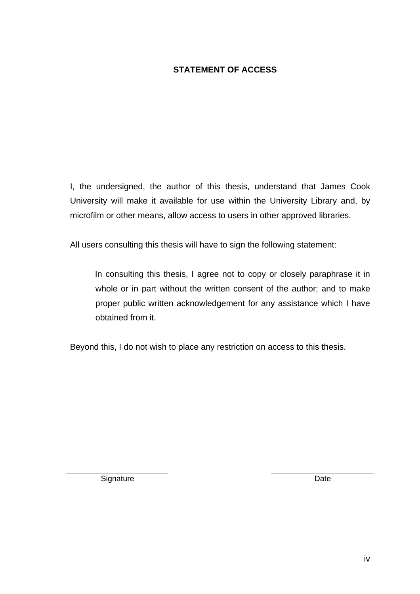### **STATEMENT OF ACCESS**

I, the undersigned, the author of this thesis, understand that James Cook University will make it available for use within the University Library and, by microfilm or other means, allow access to users in other approved libraries.

All users consulting this thesis will have to sign the following statement:

In consulting this thesis, I agree not to copy or closely paraphrase it in whole or in part without the written consent of the author; and to make proper public written acknowledgement for any assistance which I have obtained from it.

Beyond this, I do not wish to place any restriction on access to this thesis.

Signature Date **Date**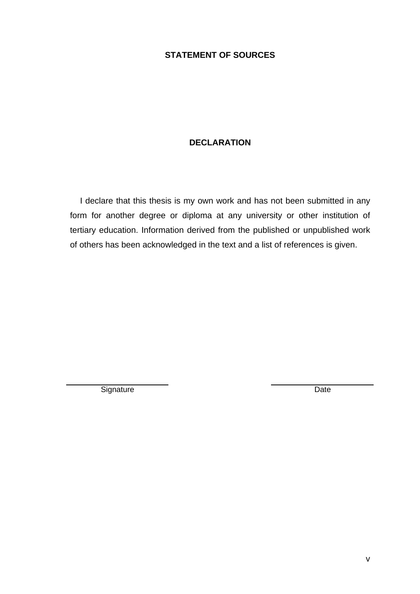#### **STATEMENT OF SOURCES**

#### **DECLARATION**

I declare that this thesis is my own work and has not been submitted in any form for another degree or diploma at any university or other institution of tertiary education. Information derived from the published or unpublished work of others has been acknowledged in the text and a list of references is given.

Signature Date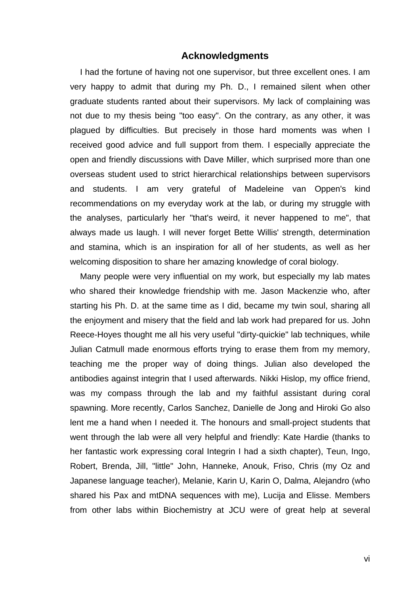#### **Acknowledgments**

I had the fortune of having not one supervisor, but three excellent ones. I am very happy to admit that during my Ph. D., I remained silent when other graduate students ranted about their supervisors. My lack of complaining was not due to my thesis being "too easy". On the contrary, as any other, it was plagued by difficulties. But precisely in those hard moments was when I received good advice and full support from them. I especially appreciate the open and friendly discussions with Dave Miller, which surprised more than one overseas student used to strict hierarchical relationships between supervisors and students. I am very grateful of Madeleine van Oppen's kind recommendations on my everyday work at the lab, or during my struggle with the analyses, particularly her "that's weird, it never happened to me", that always made us laugh. I will never forget Bette Willis' strength, determination and stamina, which is an inspiration for all of her students, as well as her welcoming disposition to share her amazing knowledge of coral biology.

Many people were very influential on my work, but especially my lab mates who shared their knowledge friendship with me. Jason Mackenzie who, after starting his Ph. D. at the same time as I did, became my twin soul, sharing all the enjoyment and misery that the field and lab work had prepared for us. John Reece-Hoyes thought me all his very useful "dirty-quickie" lab techniques, while Julian Catmull made enormous efforts trying to erase them from my memory, teaching me the proper way of doing things. Julian also developed the antibodies against integrin that I used afterwards. Nikki Hislop, my office friend, was my compass through the lab and my faithful assistant during coral spawning. More recently, Carlos Sanchez, Danielle de Jong and Hiroki Go also lent me a hand when I needed it. The honours and small-project students that went through the lab were all very helpful and friendly: Kate Hardie (thanks to her fantastic work expressing coral Integrin I had a sixth chapter), Teun, Ingo, Robert, Brenda, Jill, "little" John, Hanneke, Anouk, Friso, Chris (my Oz and Japanese language teacher), Melanie, Karin U, Karin O, Dalma, Alejandro (who shared his Pax and mtDNA sequences with me), Lucija and Elisse. Members from other labs within Biochemistry at JCU were of great help at several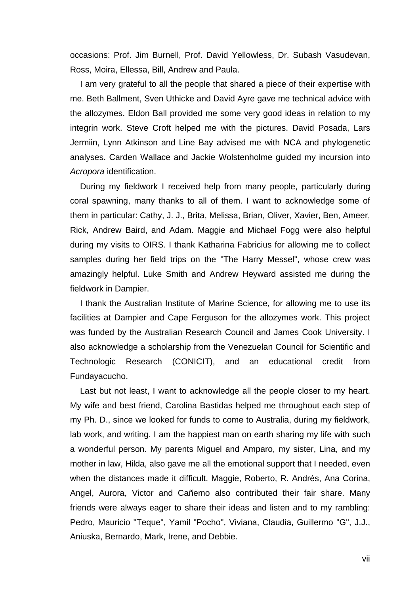occasions: Prof. Jim Burnell, Prof. David Yellowless, Dr. Subash Vasudevan, Ross, Moira, Ellessa, Bill, Andrew and Paula.

I am very grateful to all the people that shared a piece of their expertise with me. Beth Ballment, Sven Uthicke and David Ayre gave me technical advice with the allozymes. Eldon Ball provided me some very good ideas in relation to my integrin work. Steve Croft helped me with the pictures. David Posada, Lars Jermiin, Lynn Atkinson and Line Bay advised me with NCA and phylogenetic analyses. Carden Wallace and Jackie Wolstenholme guided my incursion into *Acropora* identification.

During my fieldwork I received help from many people, particularly during coral spawning, many thanks to all of them. I want to acknowledge some of them in particular: Cathy, J. J., Brita, Melissa, Brian, Oliver, Xavier, Ben, Ameer, Rick, Andrew Baird, and Adam. Maggie and Michael Fogg were also helpful during my visits to OIRS. I thank Katharina Fabricius for allowing me to collect samples during her field trips on the "The Harry Messel", whose crew was amazingly helpful. Luke Smith and Andrew Heyward assisted me during the fieldwork in Dampier.

I thank the Australian Institute of Marine Science, for allowing me to use its facilities at Dampier and Cape Ferguson for the allozymes work. This project was funded by the Australian Research Council and James Cook University. I also acknowledge a scholarship from the Venezuelan Council for Scientific and Technologic Research (CONICIT), and an educational credit from Fundayacucho.

Last but not least, I want to acknowledge all the people closer to my heart. My wife and best friend, Carolina Bastidas helped me throughout each step of my Ph. D., since we looked for funds to come to Australia, during my fieldwork, lab work, and writing. I am the happiest man on earth sharing my life with such a wonderful person. My parents Miguel and Amparo, my sister, Lina, and my mother in law, Hilda, also gave me all the emotional support that I needed, even when the distances made it difficult. Maggie, Roberto, R. Andrés, Ana Corina, Angel, Aurora, Victor and Cañemo also contributed their fair share. Many friends were always eager to share their ideas and listen and to my rambling: Pedro, Mauricio "Teque", Yamil "Pocho", Viviana, Claudia, Guillermo "G", J.J., Aniuska, Bernardo, Mark, Irene, and Debbie.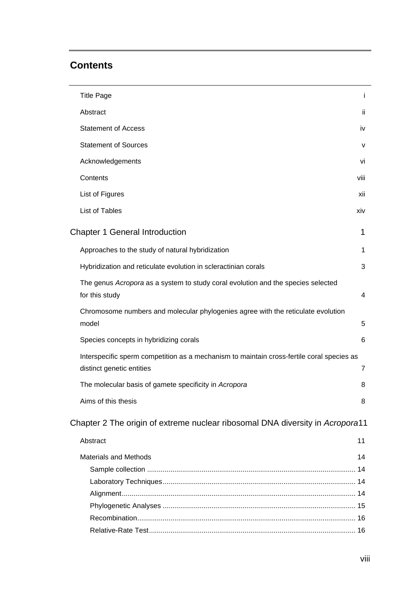### **Contents**

| ii.<br>iv                                                                                 |
|-------------------------------------------------------------------------------------------|
|                                                                                           |
|                                                                                           |
| v                                                                                         |
| vi                                                                                        |
| viii                                                                                      |
| xii                                                                                       |
| xiv                                                                                       |
| 1                                                                                         |
| 1                                                                                         |
| 3                                                                                         |
| 4                                                                                         |
| 5                                                                                         |
| 6                                                                                         |
| Interspecific sperm competition as a mechanism to maintain cross-fertile coral species as |
| $\overline{7}$                                                                            |
| 8                                                                                         |
| 8                                                                                         |
| Chapter 2 The origin of extreme nuclear ribosomal DNA diversity in Acropora11             |
| 11                                                                                        |
| 14                                                                                        |
|                                                                                           |
|                                                                                           |
|                                                                                           |
|                                                                                           |
|                                                                                           |
|                                                                                           |
|                                                                                           |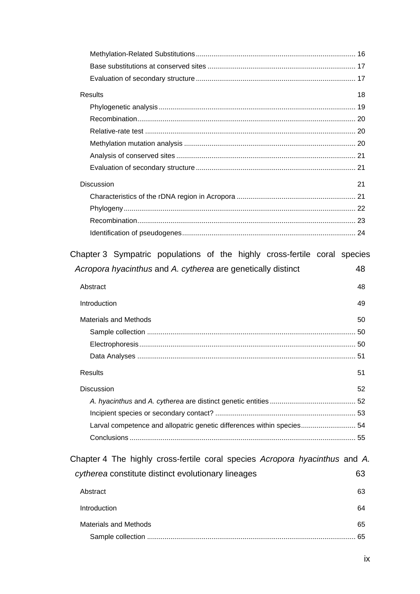| Results           | 18 |
|-------------------|----|
|                   |    |
|                   |    |
|                   |    |
|                   |    |
|                   |    |
|                   |    |
| <b>Discussion</b> | 21 |
|                   |    |
|                   |    |
|                   |    |
|                   |    |
|                   |    |

|                                                              |  |  |  |  |     | Chapter 3 Sympatric populations of the highly cross-fertile coral species |  |
|--------------------------------------------------------------|--|--|--|--|-----|---------------------------------------------------------------------------|--|
| Acropora hyacinthus and A. cytherea are genetically distinct |  |  |  |  | -48 |                                                                           |  |

| Abstract                                                               | 48 |
|------------------------------------------------------------------------|----|
| Introduction                                                           | 49 |
| Materials and Methods                                                  | 50 |
|                                                                        |    |
|                                                                        |    |
|                                                                        |    |
| Results                                                                | 51 |
| <b>Discussion</b>                                                      | 52 |
|                                                                        |    |
|                                                                        |    |
| Larval competence and allopatric genetic differences within species 54 |    |
|                                                                        | 55 |
|                                                                        |    |

| Chapter 4 The highly cross-fertile coral species Acropora hyacinthus and A. |    |
|-----------------------------------------------------------------------------|----|
| cytherea constitute distinct evolutionary lineages                          | 63 |
| Abstract                                                                    | 63 |
| Introduction                                                                | 64 |
| Materials and Methods                                                       | 65 |
| Sample collection                                                           | 65 |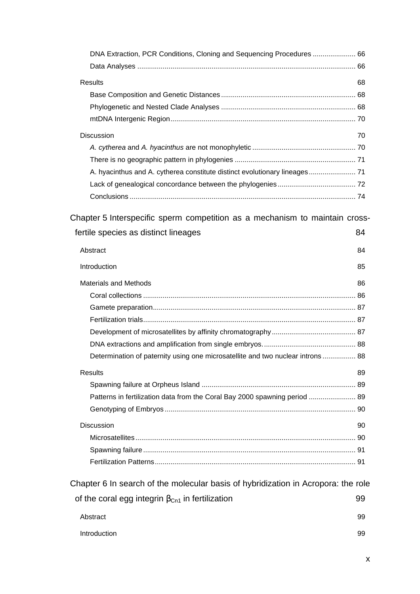| DNA Extraction, PCR Conditions, Cloning and Sequencing Procedures  66                                               |    |
|---------------------------------------------------------------------------------------------------------------------|----|
| <b>Results</b>                                                                                                      | 68 |
|                                                                                                                     |    |
|                                                                                                                     |    |
|                                                                                                                     |    |
| <b>Discussion</b>                                                                                                   | 70 |
|                                                                                                                     |    |
|                                                                                                                     |    |
|                                                                                                                     |    |
|                                                                                                                     |    |
|                                                                                                                     |    |
| Chapter 5 Interspecific sperm competition as a mechanism to maintain cross-<br>fertile species as distinct lineages | 84 |
| Abstract                                                                                                            | 84 |
| Introduction                                                                                                        | 85 |
| <b>Materials and Methods</b>                                                                                        | 86 |
|                                                                                                                     |    |
|                                                                                                                     |    |
|                                                                                                                     |    |
|                                                                                                                     |    |
|                                                                                                                     |    |
| Determination of paternity using one microsatellite and two nuclear introns 88                                      |    |
| <b>Results</b>                                                                                                      | 89 |
|                                                                                                                     |    |
| Patterns in fertilization data from the Coral Bay 2000 spawning period  89                                          |    |
|                                                                                                                     |    |
| <b>Discussion</b>                                                                                                   | 90 |
|                                                                                                                     |    |
|                                                                                                                     |    |
|                                                                                                                     |    |
| Chapter 6 In search of the molecular basis of hybridization in Acropora: the role                                   |    |
| of the coral egg integrin $\beta_{Cn1}$ in fertilization                                                            | 99 |
|                                                                                                                     |    |
| Abstract                                                                                                            | 99 |
| Introduction                                                                                                        | 99 |

x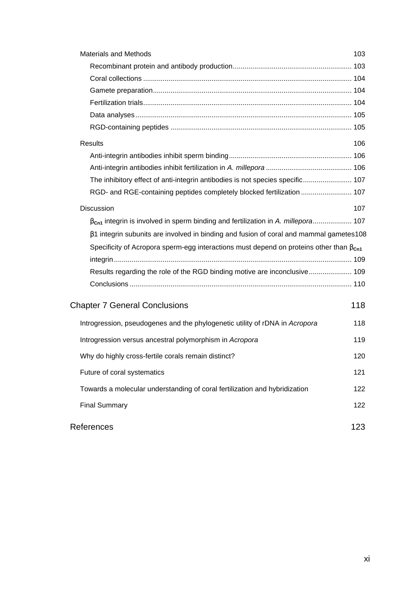| <b>Materials and Methods</b>                                                                     | 103 |
|--------------------------------------------------------------------------------------------------|-----|
|                                                                                                  |     |
|                                                                                                  |     |
|                                                                                                  |     |
|                                                                                                  |     |
|                                                                                                  |     |
|                                                                                                  |     |
| <b>Results</b>                                                                                   | 106 |
|                                                                                                  |     |
|                                                                                                  |     |
| The inhibitory effect of anti-integrin antibodies is not species specific 107                    |     |
| RGD- and RGE-containing peptides completely blocked fertilization  107                           |     |
| Discussion                                                                                       | 107 |
| $\beta_{\text{Cn1}}$ integrin is involved in sperm binding and fertilization in A. millepora 107 |     |
| $\beta$ 1 integrin subunits are involved in binding and fusion of coral and mammal gametes 108   |     |
| Specificity of Acropora sperm-egg interactions must depend on proteins other than $\beta_{cn1}$  |     |
|                                                                                                  |     |
| Results regarding the role of the RGD binding motive are inconclusive 109                        |     |
|                                                                                                  |     |
| <b>Chapter 7 General Conclusions</b>                                                             | 118 |
| Introgression, pseudogenes and the phylogenetic utility of rDNA in Acropora                      | 118 |
| Introgression versus ancestral polymorphism in Acropora                                          | 119 |
| Why do highly cross-fertile corals remain distinct?                                              | 120 |
| Future of coral systematics                                                                      | 121 |
| Towards a molecular understanding of coral fertilization and hybridization                       | 122 |
| <b>Final Summary</b>                                                                             | 122 |
| References                                                                                       | 123 |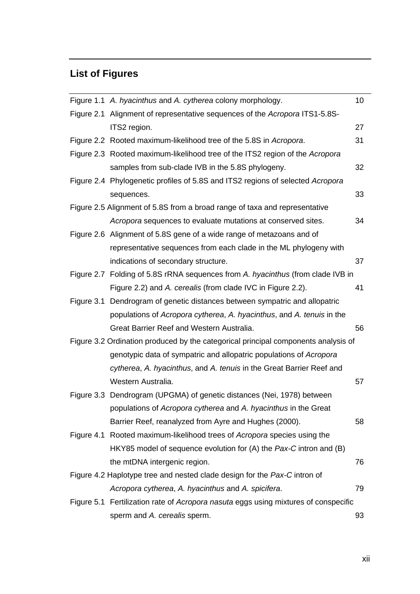## **List of Figures**

| Figure 1.1 A. hyacinthus and A. cytherea colony morphology.                         | 10 <sup>1</sup> |
|-------------------------------------------------------------------------------------|-----------------|
| Figure 2.1 Alignment of representative sequences of the Acropora ITS1-5.8S-         |                 |
| ITS2 region.                                                                        | 27              |
| Figure 2.2 Rooted maximum-likelihood tree of the 5.8S in Acropora.                  | 31              |
| Figure 2.3 Rooted maximum-likelihood tree of the ITS2 region of the Acropora        |                 |
| samples from sub-clade IVB in the 5.8S phylogeny.                                   | 32              |
| Figure 2.4 Phylogenetic profiles of 5.8S and ITS2 regions of selected Acropora      |                 |
| sequences.                                                                          | 33              |
| Figure 2.5 Alignment of 5.8S from a broad range of taxa and representative          |                 |
| Acropora sequences to evaluate mutations at conserved sites.                        | 34              |
| Figure 2.6 Alignment of 5.8S gene of a wide range of metazoans and of               |                 |
| representative sequences from each clade in the ML phylogeny with                   |                 |
| indications of secondary structure.                                                 | 37              |
| Figure 2.7 Folding of 5.8S rRNA sequences from A. hyacinthus (from clade IVB in     |                 |
| Figure 2.2) and A. cerealis (from clade IVC in Figure 2.2).                         | 41              |
| Figure 3.1 Dendrogram of genetic distances between sympatric and allopatric         |                 |
| populations of Acropora cytherea, A. hyacinthus, and A. tenuis in the               |                 |
| Great Barrier Reef and Western Australia.                                           | 56              |
| Figure 3.2 Ordination produced by the categorical principal components analysis of  |                 |
| genotypic data of sympatric and allopatric populations of Acropora                  |                 |
| cytherea, A. hyacinthus, and A. tenuis in the Great Barrier Reef and                |                 |
| Western Australia.                                                                  | 57              |
| Figure 3.3 Dendrogram (UPGMA) of genetic distances (Nei, 1978) between              |                 |
| populations of Acropora cytherea and A. hyacinthus in the Great                     |                 |
| Barrier Reef, reanalyzed from Ayre and Hughes (2000).                               | 58              |
| Figure 4.1 Rooted maximum-likelihood trees of Acropora species using the            |                 |
| HKY85 model of sequence evolution for (A) the Pax-C intron and (B)                  |                 |
| the mtDNA intergenic region.                                                        | 76              |
| Figure 4.2 Haplotype tree and nested clade design for the Pax-C intron of           |                 |
| Acropora cytherea, A. hyacinthus and A. spicifera.                                  | 79              |
| Figure 5.1 Fertilization rate of Acropora nasuta eggs using mixtures of conspecific |                 |
| sperm and A. cerealis sperm.                                                        | 93              |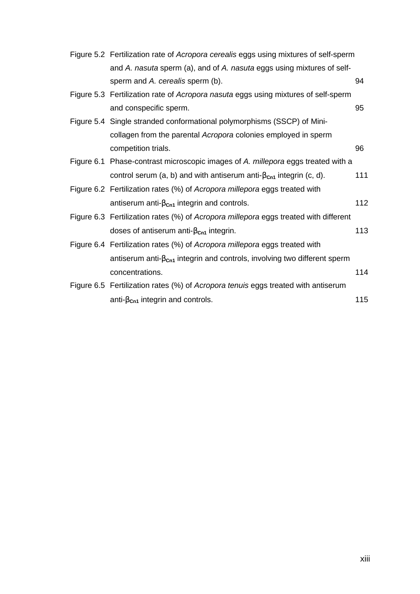| Figure 5.2 Fertilization rate of Acropora cerealis eggs using mixtures of self-sperm |     |
|--------------------------------------------------------------------------------------|-----|
| and A. nasuta sperm (a), and of A. nasuta eggs using mixtures of self-               |     |
| sperm and A. cerealis sperm (b).                                                     | 94  |
| Figure 5.3 Fertilization rate of Acropora nasuta eggs using mixtures of self-sperm   |     |
| and conspecific sperm.                                                               | 95  |
| Figure 5.4 Single stranded conformational polymorphisms (SSCP) of Mini-              |     |
| collagen from the parental Acropora colonies employed in sperm                       |     |
| competition trials.                                                                  | 96  |
| Figure 6.1 Phase-contrast microscopic images of A. millepora eggs treated with a     |     |
| control serum (a, b) and with antiserum anti- $\beta_{cn1}$ integrin (c, d).         | 111 |
| Figure 6.2 Fertilization rates (%) of Acropora millepora eggs treated with           |     |
| antiserum anti- $\beta_{cn1}$ integrin and controls.                                 | 112 |
| Figure 6.3 Fertilization rates (%) of Acropora millepora eggs treated with different |     |
| doses of antiserum anti- $\beta_{\text{Cn1}}$ integrin.                              | 113 |
| Figure 6.4 Fertilization rates (%) of Acropora millepora eggs treated with           |     |
| antiserum anti- $\beta_{cn1}$ integrin and controls, involving two different sperm   |     |
| concentrations.                                                                      | 114 |
| Figure 6.5 Fertilization rates (%) of Acropora tenuis eggs treated with antiserum    |     |
| anti- $\beta_{\text{Cn1}}$ integrin and controls.                                    | 115 |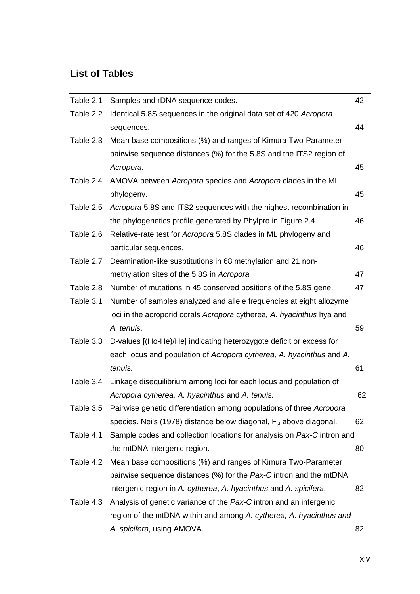## **List of Tables**

| Table 2.1 | Samples and rDNA sequence codes.                                               | 42 |
|-----------|--------------------------------------------------------------------------------|----|
| Table 2.2 | Identical 5.8S sequences in the original data set of 420 Acropora              |    |
|           | sequences.                                                                     | 44 |
| Table 2.3 | Mean base compositions (%) and ranges of Kimura Two-Parameter                  |    |
|           | pairwise sequence distances (%) for the 5.8S and the ITS2 region of            |    |
|           | Acropora.                                                                      | 45 |
| Table 2.4 | AMOVA between Acropora species and Acropora clades in the ML                   |    |
|           | phylogeny.                                                                     | 45 |
| Table 2.5 | Acropora 5.8S and ITS2 sequences with the highest recombination in             |    |
|           | the phylogenetics profile generated by Phylpro in Figure 2.4.                  | 46 |
| Table 2.6 | Relative-rate test for Acropora 5.8S clades in ML phylogeny and                |    |
|           | particular sequences.                                                          | 46 |
| Table 2.7 | Deamination-like susbtitutions in 68 methylation and 21 non-                   |    |
|           | methylation sites of the 5.8S in Acropora.                                     | 47 |
| Table 2.8 | Number of mutations in 45 conserved positions of the 5.8S gene.                | 47 |
| Table 3.1 | Number of samples analyzed and allele frequencies at eight allozyme            |    |
|           | loci in the acroporid corals Acropora cytherea, A. hyacinthus hya and          |    |
|           | A. tenuis.                                                                     | 59 |
| Table 3.3 | D-values [(Ho-He)/He] indicating heterozygote deficit or excess for            |    |
|           | each locus and population of Acropora cytherea, A. hyacinthus and A.           |    |
|           | tenuis.                                                                        | 61 |
| Table 3.4 | Linkage disequilibrium among loci for each locus and population of             |    |
|           | Acropora cytherea, A. hyacinthus and A. tenuis.                                | 62 |
| Table 3.5 | Pairwise genetic differentiation among populations of three Acropora           |    |
|           | species. Nei's (1978) distance below diagonal, F <sub>st</sub> above diagonal. | 62 |
| Table 4.1 | Sample codes and collection locations for analysis on Pax-C intron and         |    |
|           | the mtDNA intergenic region.                                                   | 80 |
| Table 4.2 | Mean base compositions (%) and ranges of Kimura Two-Parameter                  |    |
|           | pairwise sequence distances (%) for the Pax-C intron and the mtDNA             |    |
|           | intergenic region in A. cytherea, A. hyacinthus and A. spicifera.              | 82 |
| Table 4.3 | Analysis of genetic variance of the Pax-C intron and an intergenic             |    |
|           | region of the mtDNA within and among A. cytherea, A. hyacinthus and            |    |
|           | A. spicifera, using AMOVA.                                                     | 82 |